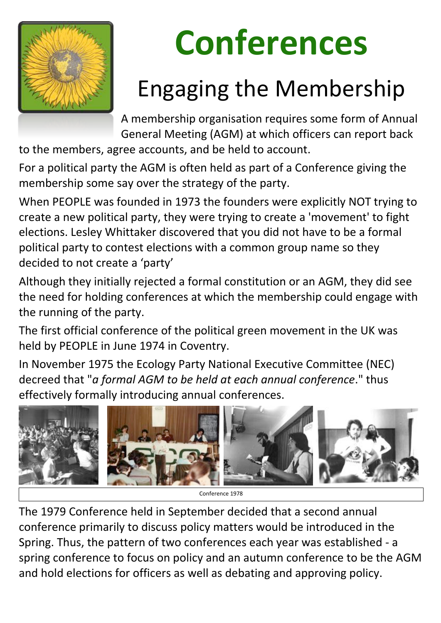

# **Conferences**

## Engaging the Membership

A membership organisation requires some form of Annual General Meeting (AGM) at which officers can report back

to the members, agree accounts, and be held to account.

For a political party the AGM is often held as part of a Conference giving the membership some say over the strategy of the party.

When PEOPLE was founded in 1973 the founders were explicitly NOT trying to create a new political party, they were trying to create a 'movement' to fight elections. Lesley Whittaker discovered that you did not have to be a formal political party to contest elections with a common group name so they decided to not create a 'party'

Although they initially rejected a formal constitution or an AGM, they did see the need for holding conferences at which the membership could engage with the running of the party.

The first official conference of the political green movement in the UK was held by PEOPLE in June 1974 in Coventry.

In November 1975 the Ecology Party National Executive Committee (NEC) decreed that "*a formal AGM to be held at each annual conference*." thus effectively formally introducing annual conferences.



The 1979 Conference held in September decided that a second annual conference primarily to discuss policy matters would be introduced in the Spring. Thus, the pattern of two conferences each year was established - a spring conference to focus on policy and an autumn conference to be the AGM and hold elections for officers as well as debating and approving policy.

Conference 1978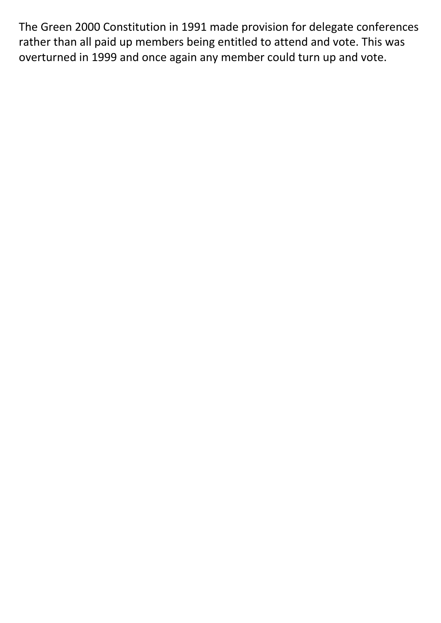The Green 2000 Constitution in 1991 made provision for delegate conferences rather than all paid up members being entitled to attend and vote. This was overturned in 1999 and once again any member could turn up and vote.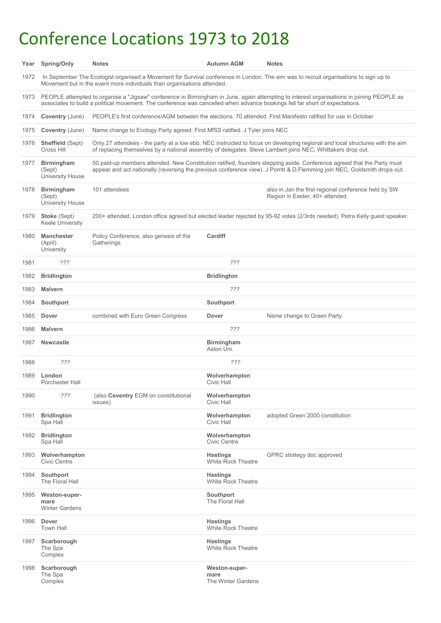### Conference Locations 1973 to 2018

| Year | <b>Spring/Only</b>                                                                                                                                                                                                                                                        | <b>Notes</b>                                                                                                                                                                                                                                        | <b>Autumn AGM</b>                            | <b>Notes</b>                                                                            |  |  |
|------|---------------------------------------------------------------------------------------------------------------------------------------------------------------------------------------------------------------------------------------------------------------------------|-----------------------------------------------------------------------------------------------------------------------------------------------------------------------------------------------------------------------------------------------------|----------------------------------------------|-----------------------------------------------------------------------------------------|--|--|
| 1972 | In September The Ecologist organised a Movement for Survival conference in London. The aim was to recruit organisations to sign up to<br>Movement but in the event more individuals than organisations attended.                                                          |                                                                                                                                                                                                                                                     |                                              |                                                                                         |  |  |
| 1973 | PEOPLE attempted to organise a "Jigsaw" conference in Birmingham in June, again attempting to interest organisations in joining PEOPLE as<br>associates to build a political movement. The conference was cancelled when advance bookings fell far short of expectations. |                                                                                                                                                                                                                                                     |                                              |                                                                                         |  |  |
| 1974 | <b>Coventry (June)</b>                                                                                                                                                                                                                                                    | PEOPLE's first conference/AGM between the elections. 70 attended. First Manifesto ratified for use in October                                                                                                                                       |                                              |                                                                                         |  |  |
| 1975 | <b>Coventry (June)</b>                                                                                                                                                                                                                                                    | Name change to Ecology Party agreed. First MfSS ratified. J Tyler joins NEC                                                                                                                                                                         |                                              |                                                                                         |  |  |
| 1976 | <b>Sheffield (Sept)</b><br>Cross Hill                                                                                                                                                                                                                                     | Only 27 attendees - the party at a low ebb. NEC instructed to focus on developing regional and local structures with the aim<br>of replacing themselves by a national assembly of delegates. Steve Lambert joins NEC, Whittakers drop out.          |                                              |                                                                                         |  |  |
| 1977 | <b>Birmingham</b><br>(Sept)<br><b>University House</b>                                                                                                                                                                                                                    | 50 paid-up members attended. New Constitution ratified, founders stepping aside. Conference agreed that the Party must<br>appear and act nationally (reversing the previous conference view). J.Porritt & D.Flemming join NEC, Goldsmith drops out. |                                              |                                                                                         |  |  |
| 1978 | <b>Birmingham</b><br>(Sept)<br><b>University House</b>                                                                                                                                                                                                                    | 101 attendees                                                                                                                                                                                                                                       |                                              | also in Jan the first regional conference held by SW<br>Region in Exeter, 40+ attended. |  |  |
| 1979 | <b>Stoke (Sept)</b><br><b>Keele University</b>                                                                                                                                                                                                                            | 200+ attended. London office agreed but elected leader rejected by 95-92 votes (2/3rds needed). Petra Kelly guest speaker.                                                                                                                          |                                              |                                                                                         |  |  |
| 1980 | <b>Manchester</b><br>(April)<br>University                                                                                                                                                                                                                                | Policy Conference, also genesis of the<br>Gatherings                                                                                                                                                                                                | <b>Cardiff</b>                               |                                                                                         |  |  |
| 1981 | ???                                                                                                                                                                                                                                                                       |                                                                                                                                                                                                                                                     | ???                                          |                                                                                         |  |  |
| 1982 | <b>Bridlington</b>                                                                                                                                                                                                                                                        |                                                                                                                                                                                                                                                     | <b>Bridlington</b>                           |                                                                                         |  |  |
| 1983 | <b>Malvern</b>                                                                                                                                                                                                                                                            |                                                                                                                                                                                                                                                     | 722                                          |                                                                                         |  |  |
| 1984 | <b>Southport</b>                                                                                                                                                                                                                                                          |                                                                                                                                                                                                                                                     | <b>Southport</b>                             |                                                                                         |  |  |
| 1985 | <b>Dover</b>                                                                                                                                                                                                                                                              | combined with Euro Green Congress                                                                                                                                                                                                                   | <b>Dover</b>                                 | Name change to Green Party                                                              |  |  |
| 1986 | <b>Malvern</b>                                                                                                                                                                                                                                                            |                                                                                                                                                                                                                                                     | 222                                          |                                                                                         |  |  |
| 1987 | <b>Newcastle</b>                                                                                                                                                                                                                                                          |                                                                                                                                                                                                                                                     | <b>Birmingham</b><br>Aston Uni.              |                                                                                         |  |  |
| 1988 | ???                                                                                                                                                                                                                                                                       |                                                                                                                                                                                                                                                     | ???                                          |                                                                                         |  |  |
| 1989 | London<br><b>Porchester Hall</b>                                                                                                                                                                                                                                          |                                                                                                                                                                                                                                                     | Wolverhampton<br><b>Civic Hall</b>           |                                                                                         |  |  |
| 1990 | 222                                                                                                                                                                                                                                                                       | (also Coventry EGM on constitutional<br>issues)                                                                                                                                                                                                     | Wolverhampton<br><b>Civic Hall</b>           |                                                                                         |  |  |
| 1991 | <b>Bridlington</b><br>Spa Hall                                                                                                                                                                                                                                            |                                                                                                                                                                                                                                                     | Wolverhampton<br><b>Civic Hall</b>           | adopted Green 2000 constitution                                                         |  |  |
| 1992 | <b>Bridlington</b><br>Spa Hall                                                                                                                                                                                                                                            |                                                                                                                                                                                                                                                     | Wolverhampton<br><b>Civic Centre</b>         |                                                                                         |  |  |
| 1993 | Wolverhampton<br><b>Civic Centre</b>                                                                                                                                                                                                                                      |                                                                                                                                                                                                                                                     | <b>Hastings</b><br><b>White Rock Theatre</b> | GPRC strategy doc approved                                                              |  |  |

| 1994 | <b>Southport</b><br>The Floral Hall                   | <b>Hastings</b><br><b>White Rock Theatre</b> |
|------|-------------------------------------------------------|----------------------------------------------|
| 1995 | <b>Weston-super-</b><br>mare<br><b>Winter Gardens</b> | Southport<br>The Floral Hall                 |
| 1996 | <b>Dover</b><br><b>Town Hall</b>                      | <b>Hastings</b><br><b>White Rock Theatre</b> |
| 1997 | Scarborough<br>The Spa<br>Complex                     | <b>Hastings</b><br><b>White Rock Theatre</b> |
| 1998 | Scarborough<br>The Spa<br>Complex                     | Weston-super-<br>mare<br>The Winter Gardens  |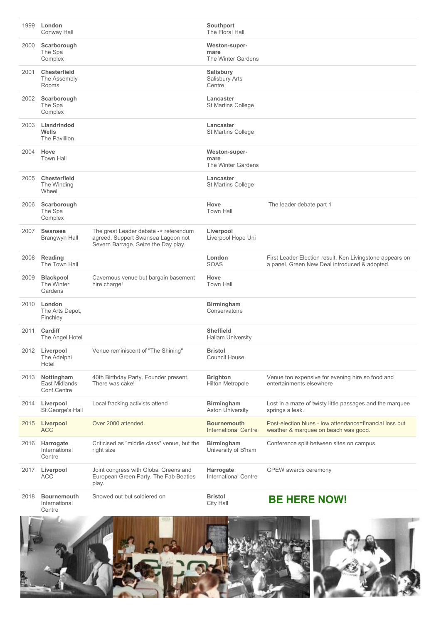| 1999 | London<br><b>Conway Hall</b>                      |                                                                                                                    | <b>Southport</b><br>The Floral Hall                 |                                                                                                           |
|------|---------------------------------------------------|--------------------------------------------------------------------------------------------------------------------|-----------------------------------------------------|-----------------------------------------------------------------------------------------------------------|
| 2000 | Scarborough<br>The Spa<br>Complex                 |                                                                                                                    | <b>Weston-super-</b><br>mare<br>The Winter Gardens  |                                                                                                           |
| 2001 | <b>Chesterfield</b><br>The Assembly<br>Rooms      |                                                                                                                    | <b>Salisbury</b><br><b>Salisbury Arts</b><br>Centre |                                                                                                           |
| 2002 | Scarborough<br>The Spa<br>Complex                 |                                                                                                                    | <b>Lancaster</b><br>St Martins College              |                                                                                                           |
| 2003 | Llandrindod<br><b>Wells</b><br>The Pavillion      |                                                                                                                    | Lancaster<br><b>St Martins College</b>              |                                                                                                           |
| 2004 | Hove<br><b>Town Hall</b>                          |                                                                                                                    | <b>Weston-super-</b><br>mare<br>The Winter Gardens  |                                                                                                           |
| 2005 | <b>Chesterfield</b><br>The Winding<br>Wheel       |                                                                                                                    | Lancaster<br><b>St Martins College</b>              |                                                                                                           |
| 2006 | Scarborough<br>The Spa<br>Complex                 |                                                                                                                    | <b>Hove</b><br><b>Town Hall</b>                     | The leader debate part 1                                                                                  |
| 2007 | <b>Swansea</b><br>Brangwyn Hall                   | The great Leader debate -> referendum<br>agreed. Support Swansea Lagoon not<br>Severn Barrage. Seize the Day play. | Liverpool<br>Liverpool Hope Uni                     |                                                                                                           |
| 2008 | <b>Reading</b><br>The Town Hall                   |                                                                                                                    | London<br><b>SOAS</b>                               | First Leader Election result. Ken Livingstone appears on<br>a panel. Green New Deal introduced & adopted. |
| 2009 | <b>Blackpool</b><br>The Winter<br>Gardens         | Cavernous venue but bargain basement<br>hire charge!                                                               | Hove<br><b>Town Hall</b>                            |                                                                                                           |
| 2010 | London<br>The Arts Depot,<br>Finchley             |                                                                                                                    | <b>Birmingham</b><br>Conservatoire                  |                                                                                                           |
| 2011 | <b>Cardiff</b><br>The Angel Hotel                 |                                                                                                                    | <b>Sheffield</b><br><b>Hallam University</b>        |                                                                                                           |
| 2012 | Liverpool<br>The Adelphi<br>Hotel                 | Venue reminiscent of "The Shining"                                                                                 | <b>Bristol</b><br><b>Council House</b>              |                                                                                                           |
| 2013 | Nottingham<br><b>East Midlands</b><br>Conf.Centre | 40th Birthday Party. Founder present.<br>There was cake!                                                           | <b>Brighton</b><br><b>Hilton Metropole</b>          | Venue too expensive for evening hire so food and<br>entertainments elsewhere                              |
| 2014 | Liverpool<br>St. George's Hall                    | Local fracking activists attend                                                                                    | <b>Birmingham</b><br><b>Aston University</b>        | Lost in a maze of twisty little passages and the marquee<br>springs a leak.                               |
| 2015 | <b>Liverpool</b><br><b>ACC</b>                    | Over 2000 attended.                                                                                                | <b>Bournemouth</b><br><b>International Centre</b>   | Post-election blues - low attendance=financial loss but<br>weather & marquee on beach was good.           |
| 2016 | Harrogate<br>International<br>Centre              | Criticised as "middle class" venue, but the<br>right size                                                          | <b>Birmingham</b><br>University of B'ham            | Conference split between sites on campus                                                                  |
| 2017 | Liverpool<br><b>ACC</b>                           | Joint congress with Global Greens and<br>European Green Party. The Fab Beatles<br>play.                            | Harrogate<br><b>International Centre</b>            | <b>GPEW</b> awards ceremony                                                                               |
| 2018 | <b>Bournemouth</b><br>International<br>Centre     | Snowed out but soldiered on                                                                                        | <b>Bristol</b><br><b>City Hall</b>                  | <b>BE HERE NOW!</b>                                                                                       |
| Ě    |                                                   |                                                                                                                    |                                                     |                                                                                                           |